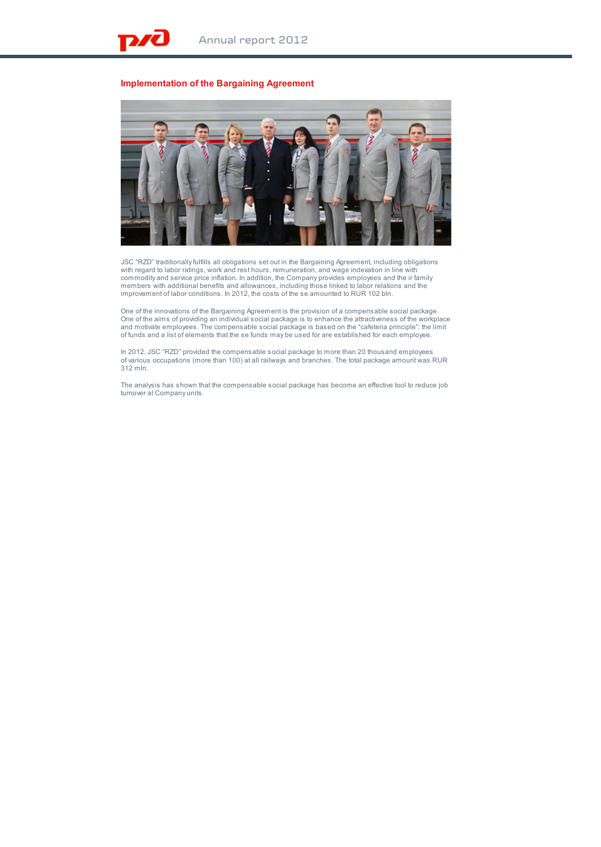## **Implementation of the Bargaining Agreement**



JSC "RZD" traditionally fulfills all obligations set out in the Bargaining Agreement, including obligations with regard to labor ratings, work and rest hours, remuneration, and wage indexation in line with<br>commodity and service price inflation. In addition, the Company provides employees and the ir family<br>members with additional improvement of labor conditions. In 2012, the costs of the se amounted to RUR 102 bln.

One of the innovations of the Bargaining Agreement is the provision of a compensable social package. One of the aims of providing an individual social package is to enhance the attractiveness of the workplace and motivate employees. The compensable social package is based on the "cafeteria principle": the limit of funds and a list of elements that the se funds may be used for are established for each employee.

In 2012, JSC "RZD" provided the compensable social package to more than 20 thousand employees of various occupations (more than 100) at all railways and branches. The total package amount was RUR 312 mln.

The analysis has shown that the compensable social package has become an effective tool to reduce job turnover at Company units.